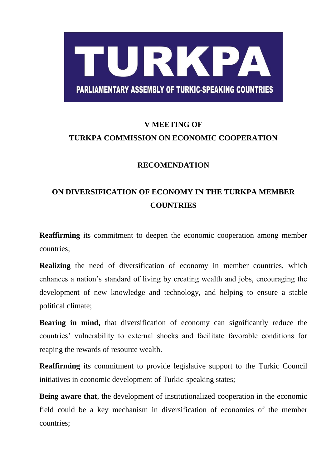## TURKPA **PARLIAMENTARY ASSEMBLY OF TURKIC-SPEAKING COUNTRIES**

## **V MEETING OF TURKPA COMMISSION ON ECONOMIC COOPERATION**

## **RECOMENDATION**

## **ON DIVERSIFICATION OF ECONOMY IN THE TURKPA MEMBER COUNTRIES**

**Reaffirming** its commitment to deepen the economic cooperation among member countries;

**Realizing** the need of diversification of economy in member countries, which enhances a nation's standard of living by creating wealth and jobs, encouraging the development of new knowledge and technology, and helping to ensure a stable political climate;

**Bearing in mind,** that diversification of economy can significantly reduce the countries' vulnerability to external shocks and facilitate favorable conditions for reaping the rewards of resource wealth.

**Reaffirming** its commitment to provide legislative support to the Turkic Council initiatives in economic development of Turkic-speaking states;

**Being aware that**, the development of institutionalized cooperation in the economic field could be a key mechanism in diversification of economies of the member countries;